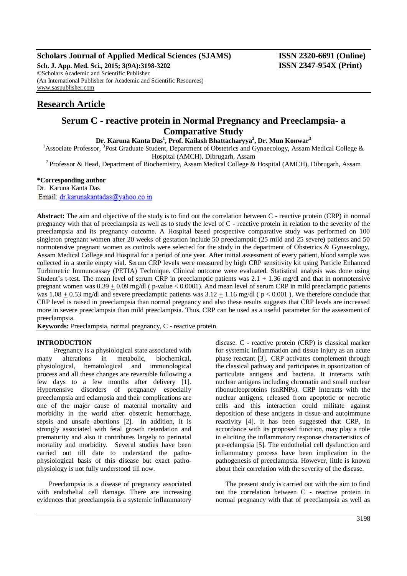# **Scholars Journal of Applied Medical Sciences (SJAMS) ISSN 2320-6691 (Online)**

**Sch. J. App. Med. Sci., 2015; 3(9A):3198-3202 ISSN 2347-954X (Print)** ©Scholars Academic and Scientific Publisher (An International Publisher for Academic and Scientific Resources) [www.saspublisher.com](http://www.saspublisher.com/)

# **Research Article**

# **Serum C - reactive protein in Normal Pregnancy and Preeclampsia- a Comparative Study**

**Dr. Karuna Kanta Das<sup>1</sup> , Prof. Kailash Bhattacharyya<sup>2</sup> , Dr. Mun Konwar<sup>3</sup>**

<sup>1</sup> Associate Professor, <sup>3</sup> Post Graduate Student, Department of Obstetrics and Gynaecology, Assam Medical College & Hospital (AMCH), Dibrugarh, Assam

<sup>2</sup> Professor & Head, Department of Biochemistry, Assam Medical College & Hospital (AMCH), Dibrugarh, Assam

# **\*Corresponding author**

Dr. Karuna Kanta Das

Email: dr.karunakantadas@yahoo.co.in

**Abstract:** The aim and objective of the study is to find out the correlation between C - reactive protein (CRP) in normal pregnancy with that of preeclampsia as well as to study the level of C - reactive protein in relation to the severity of the preeclampsia and its pregnancy outcome. A Hospital based prospective comparative study was performed on 100 singleton pregnant women after 20 weeks of gestation include 50 preeclamptic (25 mild and 25 severe) patients and 50 normotensive pregnant women as controls were selected for the study in the department of Obstetrics & Gynaecology, Assam Medical College and Hospital for a period of one year. After initial assessment of every patient, blood sample was collected in a sterile empty vial. Serum CRP levels were measured by high CRP sensitivity kit using Particle Enhanced Turbimetric Immunoassay (PETIA) Technique. Clinical outcome were evaluated. Statistical analysis was done using Student's t-test. The mean level of serum CRP in preeclamptic patients was  $2.1 \pm 1.36$  mg/dl and that in normotensive pregnant women was 0.39 + 0.09 mg/dl ( p-value < 0.0001). And mean level of serum CRP in mild preeclamptic patients was  $1.08 \pm 0.53$  mg/dl and severe preeclamptic patients was  $3.12 \pm 1.16$  mg/dl (  $p < 0.001$  ). We therefore conclude that CRP level is raised in preeclampsia than normal pregnancy and also these results suggests that CRP levels are increased more in severe preeclampsia than mild preeclampsia. Thus, CRP can be used as a useful parameter for the assessment of preeclampsia.

**Keywords:** Preeclampsia, normal pregnancy, C - reactive protein

# **INTRODUCTION**

 Pregnancy is a physiological state associated with many alterations in metabolic, biochemical, physiological, hematological and immunological process and all these changes are reversible following a few days to a few months after delivery [1]. Hypertensive disorders of pregnancy especially preeclampsia and eclampsia and their complications are one of the major cause of maternal mortality and morbidity in the world after obstetric hemorrhage, sepsis and unsafe abortions [2]. In addition, it is strongly associated with fetal growth retardation and prematurity and also it contributes largely to perinatal mortality and morbidity. Several studies have been carried out till date to understand the pathophysiological basis of this disease but exact pathophysiology is not fully understood till now.

 Preeclampsia is a disease of pregnancy associated with endothelial cell damage. There are increasing evidences that preeclampsia is a systemic inflammatory

disease. C - reactive protein (CRP) is classical marker for systemic inflammation and tissue injury as an acute phase reactant [3]. CRP activates complement through the classical pathway and participates in opsonization of particulate antigens and bacteria. It interacts with nuclear antigens including chromatin and small nuclear ribonucleoproteins (snRNPs). CRP interacts with the nuclear antigens, released from apoptotic or necrotic cells and this interaction could militate against deposition of these antigens in tissue and autoimmune reactivity [4]. It has been suggested that CRP, in accordance with its proposed function, may play a role in eliciting the inflammatory response characteristics of pre-eclampsia [5]. The endothelial cell dysfunction and inflammatory process have been implication in the pathogenesis of preeclampsia. However, little is known about their correlation with the severity of the disease.

 The present study is carried out with the aim to find out the correlation between C - reactive protein in normal pregnancy with that of preeclampsia as well as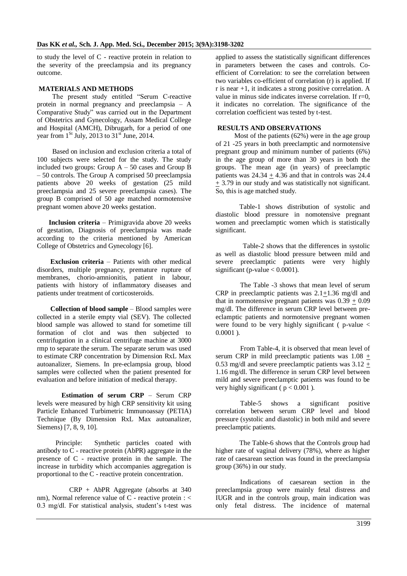to study the level of C - reactive protein in relation to the severity of the preeclampsia and its pregnancy outcome.

#### **MATERIALS AND METHODS**

 The present study entitled "Serum C-reactive protein in normal pregnancy and preeclampsia – A Comparative Study" was carried out in the Department of Obstetrics and Gynecology, Assam Medical College and Hospital (AMCH), Dibrugarh, for a period of one year from  $1<sup>St</sup>$  July, 2013 to  $31<sup>st</sup>$  June, 2014.

 Based on inclusion and exclusion criteria a total of 100 subjects were selected for the study. The study included two groups: Group  $A - 50$  cases and Group B – 50 controls. The Group A comprised 50 preeclampsia patients above 20 weeks of gestation (25 mild preeclampsia and 25 severe preeclampsia cases). The group B comprised of 50 age matched normotensive pregnant women above 20 weeks gestation.

 **Inclusion criteria** – Primigravida above 20 weeks of gestation, Diagnosis of preeclampsia was made according to the criteria mentioned by American College of Obstetrics and Gynecology [6].

 **Exclusion criteria** – Patients with other medical disorders, multiple pregnancy, premature rupture of membranes, chorio-amnionitis, patient in labour, patients with history of inflammatory diseases and patients under treatment of corticosteroids.

 **Collection of blood sample** – Blood samples were collected in a sterile empty vial (SEV). The collected blood sample was allowed to stand for sometime till formation of clot and was then subjected to centrifugation in a clinical centrifuge machine at 3000 rmp to separate the serum. The separate serum was used to estimate CRP concentration by Dimension RxL Max autoanalizer, Siemens. In pre-eclampsia group, blood samples were collected when the patient presented for evaluation and before initiation of medical therapy.

**Estimation of serum CRP** – Serum CRP levels were measured by high CRP sensitivity kit using Particle Enhanced Turbimetric Immunoassay (PETIA) Technique (By Dimension RxL Max autoanalizer, Siemens) [7, 8, 9, 10].

 Principle: Synthetic particles coated with antibody to  $\overline{C}$  - reactive protein (AbPR) aggregate in the presence of C - reactive protein in the sample. The increase in turbidity which accompanies aggregation is proportional to the C - reactive protein concentration.

 CRP + AbPR Aggregate (absorbs at 340 nm), Normal reference value of  $C$  - reactive protein : < 0.3 mg/dl. For statistical analysis, student's t-test was applied to assess the statistically significant differences in parameters between the cases and controls. Coefficient of Correlation: to see the correlation between two variables co-efficient of correlation (r) is applied. If r is near +1, it indicates a strong positive correlation. A value in minus side indicates inverse correlation. If  $r=0$ , it indicates no correlation. The significance of the correlation coefficient was tested by t-test.

#### **RESULTS AND OBSERVATIONS**

 Most of the patients (62%) were in the age group of 21 -25 years in both preeclamptic and normotensive pregnant group and minimum number of patients (6%) in the age group of more than 30 years in both the groups. The mean age (in years) of preeclamptic patients was  $24.34 \pm 4.36$  and that in controls was 24.4  $\pm$  3.79 in our study and was statistically not significant. So, this is age matched study.

 Table-1 shows distribution of systolic and diastolic blood pressure in nomotensive pregnant women and preeclamptic women which is statistically significant.

 Table-2 shows that the differences in systolic as well as diastolic blood pressure between mild and severe preeclamptic patients were very highly significant (p-value  $< 0.0001$ ).

The Table -3 shows that mean level of serum CRP in preeclamptic patients was  $2.1 \pm 1.36$  mg/dl and that in normotensive pregnant patients was  $0.39 + 0.09$ mg/dl. The difference in serum CRP level between preeclamptic patients and normotensive pregnant women were found to be very highly significant ( $p$ -value  $\lt$  $0.0001$ ).

From Table-4, it is observed that mean level of serum CRP in mild preeclamptic patients was 1.08 + 0.53 mg/dl and severe preeclamptic patients was  $3.12 +$ 1.16 mg/dl. The difference in serum CRP level between mild and severe preeclamptic patients was found to be very highly significant ( $p < 0.001$ ).

Table-5 shows a significant positive correlation between serum CRP level and blood pressure (systolic and diastolic) in both mild and severe preeclamptic patients.

 The Table-6 shows that the Controls group had higher rate of vaginal delivery (78%), where as higher rate of caesarean section was found in the preeclampsia group (36%) in our study.

Indications of caesarean section in the preeclampsia group were mainly fetal distress and IUGR and in the controls group, main indication was only fetal distress. The incidence of maternal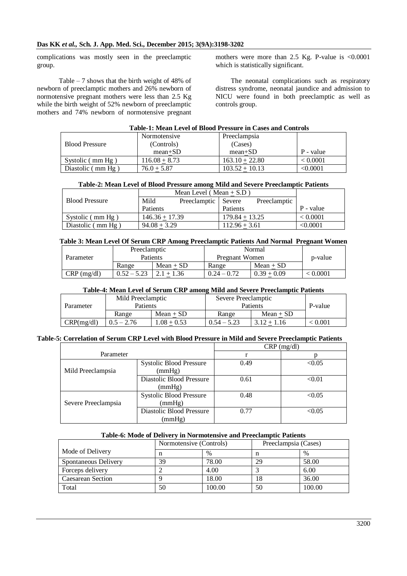complications was mostly seen in the preeclamptic group.

 Table – 7 shows that the birth weight of 48% of newborn of preeclamptic mothers and 26% newborn of normotensive pregnant mothers were less than 2.5 Kg while the birth weight of 52% newborn of preeclamptic mothers and 74% newborn of normotensive pregnant mothers were more than 2.5 Kg. P-value is  $\leq 0.0001$ which is statistically significant.

 The neonatal complications such as respiratory distress syndrome, neonatal jaundice and admission to NICU were found in both preeclamptic as well as controls group.

|                       | Normotensive    | Preeclampsia     |           |
|-----------------------|-----------------|------------------|-----------|
| <b>Blood Pressure</b> | (Controls)      | (Cases)          |           |
|                       | $mean+SD$       | $mean+SD$        | P - value |
| Systolic (mm Hg)      | $116.08 + 8.73$ | $163.10 + 22.80$ | < 0.0001  |
| Diastolic (mm Hg)     | $76.0 + 5.87$   | $103.52 + 10.13$ | < 0.0001  |

### **Table-2: Mean Level of Blood Pressure among Mild and Severe Preeclamptic Patients**

| <b>Blood Pressure</b>      | Mild             | Preeclamptic   Severe |                  | Preeclamptic |           |
|----------------------------|------------------|-----------------------|------------------|--------------|-----------|
|                            | Patients         |                       | Patients         |              | P - value |
| Systolic $\mu$ mm Hg $\mu$ | $146.36 + 17.39$ |                       | $179.84 + 13.25$ |              | < 0.0001  |
| Diastolic $\rm(mm\,Hg)$    | $94.08 + 3.29$   |                       | $112.96 + 3.61$  |              | < 0.0001  |

#### **Table 3: Mean Level Of Serum CRP Among Preeclamptic Patients And Normal Pregnant Women**

|               | Preeclamptic  |              | Normal         |               |          |
|---------------|---------------|--------------|----------------|---------------|----------|
| Parameter     | Patients      |              | Pregnant Women |               | p-value  |
|               | Range         | $Mean + SD$  | Range          | $Mean + SD$   |          |
| $CRP$ (mg/dl) | $0.52 - 5.23$ | $2.1 + 1.36$ | $0.24 - 0.72$  | $0.39 + 0.09$ | < 0.0001 |

## **Table-4: Mean Level of Serum CRP among Mild and Severe Preeclamptic Patients**

| Parameter              | Mild Preeclamptic<br>Patients |               | Severe Preeclamptic<br>Patients |               | P-value |
|------------------------|-------------------------------|---------------|---------------------------------|---------------|---------|
|                        | Range                         | $Mean + SD$   | Range                           | $Mean + SD$   |         |
| $\mathcal{C}RP(mg/dl)$ | $0.5 - 2.76$                  | $1.08 + 0.53$ | $0.54 - 5.23$                   | $3.12 + 1.16$ | < 0.001 |

## **Table-5: Correlation of Serum CRP Level with Blood Pressure in Mild and Severe Preeclamptic Patients**

|                     |                                | $CRP$ (mg/dl) |        |  |
|---------------------|--------------------------------|---------------|--------|--|
| Parameter           |                                |               |        |  |
|                     | <b>Systolic Blood Pressure</b> | 0.49          | < 0.05 |  |
| Mild Preeclampsia   | (mmHg)                         |               |        |  |
|                     | Diastolic Blood Pressure       | 0.61          | < 0.01 |  |
|                     | (mmHg)                         |               |        |  |
|                     | <b>Systolic Blood Pressure</b> | 0.48          | < 0.05 |  |
| Severe Preeclampsia | (mmHg)                         |               |        |  |
|                     | Diastolic Blood Pressure       | 0.77          | < 0.05 |  |
|                     | (mmHg)                         |               |        |  |

#### **Table-6: Mode of Delivery in Normotensive and Preeclamptic Patients**

|                      | Normotensive (Controls) |               | Preeclampsia (Cases) |        |
|----------------------|-------------------------|---------------|----------------------|--------|
| Mode of Delivery     | n                       | $\frac{0}{0}$ |                      | $\%$   |
| Spontaneous Delivery | 39                      | 78.00         | 29                   | 58.00  |
| Forceps delivery     |                         | 4.00          |                      | 6.00   |
| Caesarean Section    |                         | 18.00         | 18                   | 36.00  |
| Total                | 50                      | 100.00        | 50                   | 100.00 |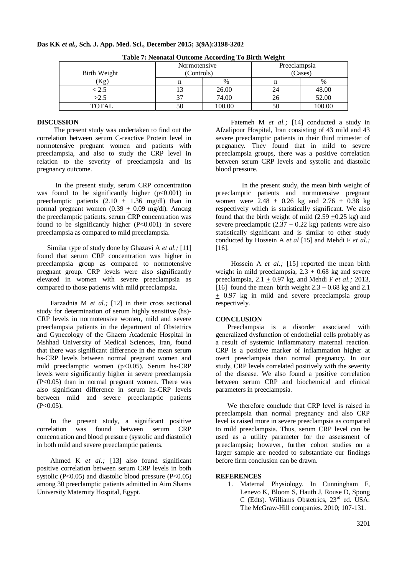| <b>Table 7: Neonatal Outcome According To Birth Weight</b> |                              |        |         |               |  |  |
|------------------------------------------------------------|------------------------------|--------|---------|---------------|--|--|
|                                                            | Preeclampsia<br>Normotensive |        |         |               |  |  |
| Birth Weight                                               | (Controls)                   |        | (Cases) |               |  |  |
| (Kg)                                                       |                              | $\%$   |         | $\frac{0}{0}$ |  |  |
| $\lesssim 2.5$                                             |                              | 26.00  | 24      | 48.00         |  |  |
| >2.5                                                       | 27                           | 74.00  | 26      | 52.00         |  |  |
| <b>TOTAL</b>                                               |                              | 100.00 | 50      | 100.00        |  |  |

#### **Das KK** *et al.,* **Sch. J. App. Med. Sci., December 2015; 3(9A):3198-3202**

#### **DISCUSSION**

 The present study was undertaken to find out the correlation between serum C-reactive Protein level in normotensive pregnant women and patients with preeclampsia, and also to study the CRP level in relation to the severity of preeclampsia and its pregnancy outcome.

 In the present study, serum CRP concentration was found to be significantly higher  $(p<0.001)$  in preeclamptic patients  $(2.10 + 1.36 \text{ mg/dl})$  than in normal pregnant women  $(0.39 + 0.09 \text{ mg/dl})$ . Among the preeclamptic patients, serum CRP concentration was found to be significantly higher  $(P<0.001)$  in severe preeclampsia as compared to mild preeclampsia.

 Similar type of study done by Ghazavi A *et al.;* [11] found that serum CRP concentration was higher in preeclampsia group as compared to normotensive pregnant group. CRP levels were also significantly elevated in women with severe preeclampsia as compared to those patients with mild preeclampsia.

 Farzadnia M *et al.;* [12] in their cross sectional study for determination of serum highly sensitive (hs)- CRP levels in normotensive women, mild and severe preeclampsia patients in the department of Obstetrics and Gynecology of the Ghaem Academic Hospital in Mshhad University of Medical Sciences, Iran, found that there was significant difference in the mean serum hs-CRP levels between normal pregnant women and mild preeclamptic women (p<0.05). Serum hs-CRP levels were significantly higher in severe preeclampsia (P<0.05) than in normal pregnant women. There was also significant difference in serum hs-CRP levels between mild and severe preeclamptic patients  $(P<0.05)$ .

 In the present study, a significant positive correlation was found between serum CRP concentration and blood pressure (systolic and diastolic) in both mild and severe preeclamptic patients.

 Ahmed K *et al.;* [13] also found significant positive correlation between serum CRP levels in both systolic ( $P<0.05$ ) and diastolic blood pressure ( $P<0.05$ ) among 30 preeclamptic patients admitted in Aim Shams University Maternity Hospital, Egypt.

 Fatemeh M *et al.;* [14] conducted a study in Afzalipour Hospital, Iran consisting of 43 mild and 43 severe preeclamptic patients in their third trimester of pregnancy. They found that in mild to severe preeclampsia groups, there was a positive correlation between serum CRP levels and systolic and diastolic blood pressure.

In the present study, the mean birth weight of preeclamptic patients and normotensive pregnant women were 2.48  $\pm$  0.26 kg and 2.76  $\pm$  0.38 kg respectively which is statistically significant. We also found that the birth weight of mild  $(2.59 +0.25 \text{ kg})$  and severe preeclamptic  $(2.37 + 0.22 \text{ kg})$  patients were also statistically significant and is similar to other study conducted by Hossein A *et al* [15] and Mehdi F *et al.;* [16].

Hossein A *et al.*; [15] reported the mean birth weight in mild preeclampsia,  $2.3 + 0.68$  kg and severe preeclampsia,  $2.1 \pm 0.97$  kg, and Mehdi F *et al.*; 2013, [16] found the mean birth weight  $2.3 + 0.68$  kg and  $2.1$ + 0.97 kg in mild and severe preeclampsia group respectively.

## **CONCLUSION**

 Preeclampsia is a disorder associated with generalized dysfunction of endothelial cells probably as a result of systemic inflammatory maternal reaction. CRP is a positive marker of inflammation higher at overt preeclampsia than normal pregnancy. In our study, CRP levels correlated positively with the severity of the disease. We also found a positive correlation between serum CRP and biochemical and clinical parameters in preeclampsia.

 We therefore conclude that CRP level is raised in preeclampsia than normal pregnancy and also CRP level is raised more in severe preeclampsia as compared to mild preeclampsia. Thus, serum CRP level can be used as a utility parameter for the assessment of preeclampsia; however, further cohort studies on a larger sample are needed to substantiate our findings before firm conclusion can be drawn.

#### **REFERENCES**

1. Maternal Physiology. In Cunningham F, Lenevo K, Bloom S, Hauth J, Rouse D, Spong C (Edts). Williams Obstetrics, 23rd ed. USA: The McGraw-Hill companies. 2010; 107-131.